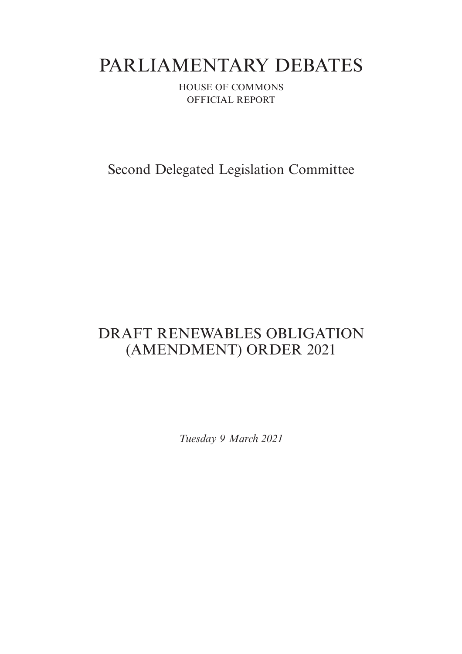# PARLIAMENTARY DEBATES

HOUSE OF COMMONS OFFICIAL REPORT

Second Delegated Legislation Committee

## DRAFT RENEWABLES OBLIGATION (AMENDMENT) ORDER 2021

*Tuesday 9 March 2021*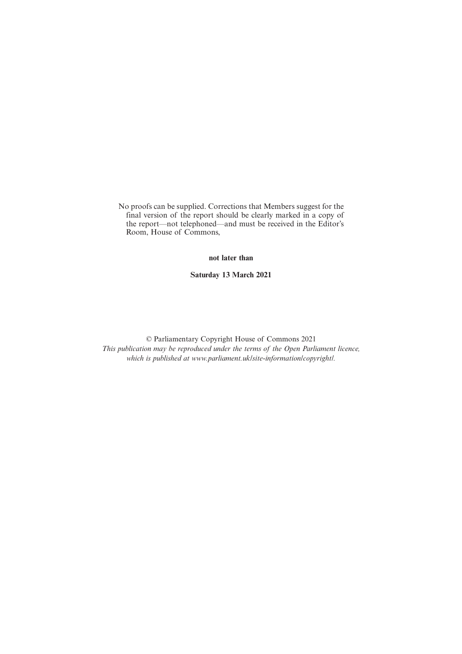No proofs can be supplied. Corrections that Members suggest for the final version of the report should be clearly marked in a copy of the report—not telephoned—and must be received in the Editor's Room, House of Commons,

**not later than**

**Saturday 13 March 2021**

© Parliamentary Copyright House of Commons 2021 *This publication may be reproduced under the terms of the Open Parliament licence, which is published at www.parliament.uk/site-information/copyright/.*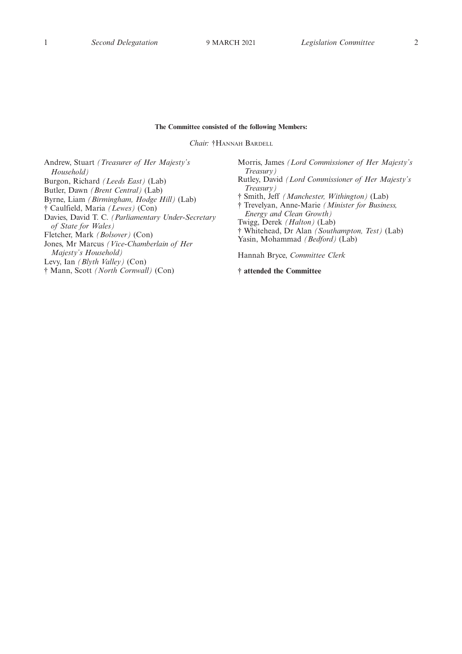#### **The Committee consisted of the following Members:**

*Chair:* †HANNAH BARDELL

Andrew, Stuart *(Treasurer of Her Majesty's Household)* Burgon, Richard *(Leeds East)* (Lab) Butler, Dawn *(Brent Central)* (Lab) Byrne, Liam *(Birmingham, Hodge Hill)* (Lab) † Caulfield, Maria *(Lewes)* (Con) Davies, David T. C. *(Parliamentary Under-Secretary of State for Wales)* Fletcher, Mark *(Bolsover)* (Con) Jones, Mr Marcus *(Vice-Chamberlain of Her Majesty's Household)* Levy, Ian *(Blyth Valley)* (Con)

† Mann, Scott *(North Cornwall)* (Con)

Morris, James *(Lord Commissioner of Her Majesty's Treasury)* Rutley, David *(Lord Commissioner of Her Majesty's Treasury)* † Smith, Jeff *(Manchester, Withington)* (Lab) † Trevelyan, Anne-Marie *(Minister for Business, Energy and Clean Growth)* Twigg, Derek *(Halton)* (Lab) † Whitehead, Dr Alan *(Southampton, Test)* (Lab) Yasin, Mohammad *(Bedford)* (Lab) Hannah Bryce, *Committee Clerk*

**† attended the Committee**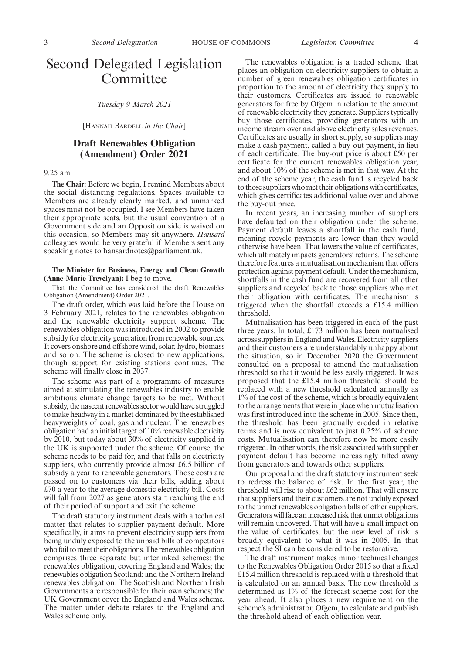### Second Delegated Legislation Committee

*Tuesday 9 March 2021*

[HANNAH BARDELL *in the Chair*]

#### **Draft Renewables Obligation (Amendment) Order 2021**

#### 9.25 am

**The Chair:** Before we begin, I remind Members about the social distancing regulations. Spaces available to Members are already clearly marked, and unmarked spaces must not be occupied. I see Members have taken their appropriate seats, but the usual convention of a Government side and an Opposition side is waived on this occasion, so Members may sit anywhere. *Hansard* colleagues would be very grateful if Members sent any speaking notes to hansardnotes@parliament.uk.

#### **The Minister for Business, Energy and Clean Growth (Anne-Marie Trevelyan):** I beg to move,

That the Committee has considered the draft Renewables Obligation (Amendment) Order 2021.

The draft order, which was laid before the House on 3 February 2021, relates to the renewables obligation and the renewable electricity support scheme. The renewables obligation was introduced in 2002 to provide subsidy for electricity generation from renewable sources. It covers onshore and offshore wind, solar, hydro, biomass and so on. The scheme is closed to new applications, though support for existing stations continues. The scheme will finally close in 2037.

The scheme was part of a programme of measures aimed at stimulating the renewables industry to enable ambitious climate change targets to be met. Without subsidy, the nascent renewables sector would have struggled to make headway in a market dominated by the established heavyweights of coal, gas and nuclear. The renewables obligation had an initial target of 10% renewable electricity by 2010, but today about 30% of electricity supplied in the UK is supported under the scheme. Of course, the scheme needs to be paid for, and that falls on electricity suppliers, who currently provide almost £6.5 billion of subsidy a year to renewable generators. Those costs are passed on to customers via their bills, adding about £70 a year to the average domestic electricity bill. Costs will fall from 2027 as generators start reaching the end of their period of support and exit the scheme.

The draft statutory instrument deals with a technical matter that relates to supplier payment default. More specifically, it aims to prevent electricity suppliers from being unduly exposed to the unpaid bills of competitors who fail to meet their obligations. The renewables obligation comprises three separate but interlinked schemes: the renewables obligation, covering England and Wales; the renewables obligation Scotland; and the Northern Ireland renewables obligation. The Scottish and Northern Irish Governments are responsible for their own schemes; the UK Government cover the England and Wales scheme. The matter under debate relates to the England and Wales scheme only.

The renewables obligation is a traded scheme that places an obligation on electricity suppliers to obtain a number of green renewables obligation certificates in proportion to the amount of electricity they supply to their customers. Certificates are issued to renewable generators for free by Ofgem in relation to the amount of renewable electricity they generate. Suppliers typically buy those certificates, providing generators with an income stream over and above electricity sales revenues. Certificates are usually in short supply, so suppliers may make a cash payment, called a buy-out payment, in lieu of each certificate. The buy-out price is about £50 per certificate for the current renewables obligation year, and about 10% of the scheme is met in that way. At the end of the scheme year, the cash fund is recycled back to those suppliers who met their obligations with certificates, which gives certificates additional value over and above the buy-out price.

In recent years, an increasing number of suppliers have defaulted on their obligation under the scheme. Payment default leaves a shortfall in the cash fund, meaning recycle payments are lower than they would otherwise have been. That lowers the value of certificates, which ultimately impacts generators' returns. The scheme therefore features a mutualisation mechanism that offers protection against payment default. Under the mechanism, shortfalls in the cash fund are recovered from all other suppliers and recycled back to those suppliers who met their obligation with certificates. The mechanism is triggered when the shortfall exceeds a £15.4 million threshold.

Mutualisation has been triggered in each of the past three years. In total, £173 million has been mutualised across suppliers in England and Wales. Electricity suppliers and their customers are understandably unhappy about the situation, so in December 2020 the Government consulted on a proposal to amend the mutualisation threshold so that it would be less easily triggered. It was proposed that the £15.4 million threshold should be replaced with a new threshold calculated annually as 1% of the cost of the scheme, which is broadly equivalent to the arrangements that were in place when mutualisation was first introduced into the scheme in 2005. Since then, the threshold has been gradually eroded in relative terms and is now equivalent to just 0.25% of scheme costs. Mutualisation can therefore now be more easily triggered. In other words, the risk associated with supplier payment default has become increasingly tilted away from generators and towards other suppliers.

Our proposal and the draft statutory instrument seek to redress the balance of risk. In the first year, the threshold will rise to about £62 million. That will ensure that suppliers and their customers are not unduly exposed to the unmet renewables obligation bills of other suppliers. Generators will face an increased risk that unmet obligations will remain uncovered. That will have a small impact on the value of certificates, but the new level of risk is broadly equivalent to what it was in 2005. In that respect the SI can be considered to be restorative.

The draft instrument makes minor technical changes to the Renewables Obligation Order 2015 so that a fixed £15.4 million threshold is replaced with a threshold that is calculated on an annual basis. The new threshold is determined as 1% of the forecast scheme cost for the year ahead. It also places a new requirement on the scheme's administrator, Ofgem, to calculate and publish the threshold ahead of each obligation year.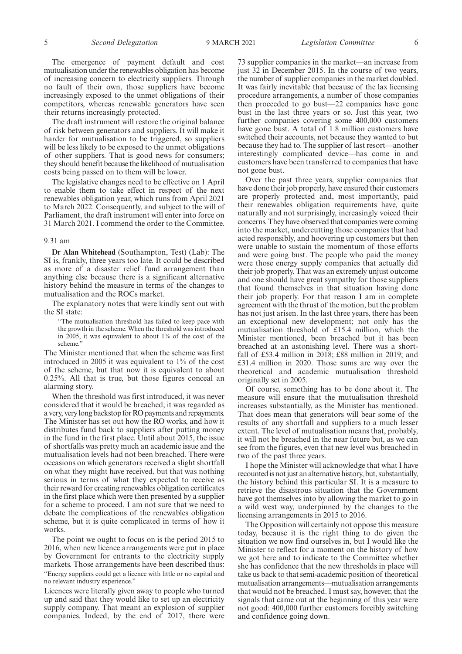The emergence of payment default and cost mutualisation under the renewables obligation has become of increasing concern to electricity suppliers. Through no fault of their own, those suppliers have become increasingly exposed to the unmet obligations of their competitors, whereas renewable generators have seen their returns increasingly protected.

The draft instrument will restore the original balance of risk between generators and suppliers. It will make it harder for mutualisation to be triggered, so suppliers will be less likely to be exposed to the unmet obligations of other suppliers. That is good news for consumers; they should benefit because the likelihood of mutualisation costs being passed on to them will be lower.

The legislative changes need to be effective on 1 April to enable them to take effect in respect of the next renewables obligation year, which runs from April 2021 to March 2022. Consequently, and subject to the will of Parliament, the draft instrument will enter into force on 31 March 2021. I commend the order to the Committee.

#### 9.31 am

**Dr Alan Whitehead** (Southampton, Test) (Lab): The SI is, frankly, three years too late. It could be described as more of a disaster relief fund arrangement than anything else because there is a significant alternative history behind the measure in terms of the changes to mutualisation and the ROCs market.

The explanatory notes that were kindly sent out with the SI state:

"The mutualisation threshold has failed to keep pace with the growth in the scheme. When the threshold was introduced in 2005, it was equivalent to about 1% of the cost of the scheme.

The Minister mentioned that when the scheme was first introduced in 2005 it was equivalent to 1% of the cost of the scheme, but that now it is equivalent to about 0.25%. All that is true, but those figures conceal an alarming story.

When the threshold was first introduced, it was never considered that it would be breached; it was regarded as a very, very long backstop for RO payments and repayments. The Minister has set out how the RO works, and how it distributes fund back to suppliers after putting money in the fund in the first place. Until about 2015, the issue of shortfalls was pretty much an academic issue and the mutualisation levels had not been breached. There were occasions on which generators received a slight shortfall on what they might have received, but that was nothing serious in terms of what they expected to receive as their reward for creating renewables obligation certificates in the first place which were then presented by a supplier for a scheme to proceed. I am not sure that we need to debate the complications of the renewables obligation scheme, but it is quite complicated in terms of how it works.

The point we ought to focus on is the period 2015 to 2016, when new licence arrangements were put in place by Government for entrants to the electricity supply markets. Those arrangements have been described thus: "Energy suppliers could get a licence with little or no capital and no relevant industry experience."

Licences were literally given away to people who turned up and said that they would like to set up an electricity supply company. That meant an explosion of supplier companies. Indeed, by the end of 2017, there were 73 supplier companies in the market—an increase from just 32 in December 2015. In the course of two years, the number of supplier companies in the market doubled. It was fairly inevitable that because of the lax licensing procedure arrangements, a number of those companies then proceeded to go bust—22 companies have gone bust in the last three years or so. Just this year, two further companies covering some 400,000 customers have gone bust. A total of 1.8 million customers have switched their accounts, not because they wanted to but because they had to. The supplier of last resort—another interestingly complicated device—has come in and

customers have been transferred to companies that have

not gone bust. Over the past three years, supplier companies that have done their job properly, have ensured their customers are properly protected and, most importantly, paid their renewables obligation requirements have, quite naturally and not surprisingly, increasingly voiced their concerns. They have observed that companies were coming into the market, undercutting those companies that had acted responsibly, and hoovering up customers but then were unable to sustain the momentum of those efforts and were going bust. The people who paid the money were those energy supply companies that actually did their job properly. That was an extremely unjust outcome and one should have great sympathy for those suppliers that found themselves in that situation having done their job properly. For that reason I am in complete agreement with the thrust of the motion, but the problem has not just arisen. In the last three years, there has been an exceptional new development; not only has the mutualisation threshold of £15.4 million, which the Minister mentioned, been breached but it has been breached at an astonishing level. There was a shortfall of £53.4 million in 2018; £88 million in 2019; and £31.4 million in 2020. Those sums are way over the theoretical and academic mutualisation threshold originally set in 2005.

Of course, something has to be done about it. The measure will ensure that the mutualisation threshold increases substantially, as the Minister has mentioned. That does mean that generators will bear some of the results of any shortfall and suppliers to a much lesser extent. The level of mutualisation means that, probably, it will not be breached in the near future but, as we can see from the figures, even that new level was breached in two of the past three years.

I hope the Minister will acknowledge that what I have recounted is not just an alternative history, but, substantially, the history behind this particular SI. It is a measure to retrieve the disastrous situation that the Government have got themselves into by allowing the market to go in a wild west way, underpinned by the changes to the licensing arrangements in 2015 to 2016.

The Opposition will certainly not oppose this measure today, because it is the right thing to do given the situation we now find ourselves in, but I would like the Minister to reflect for a moment on the history of how we got here and to indicate to the Committee whether she has confidence that the new thresholds in place will take us back to that semi-academic position of theoretical mutualisation arrangements—mutualisation arrangements that would not be breached. I must say, however, that the signals that came out at the beginning of this year were not good: 400,000 further customers forcibly switching and confidence going down.